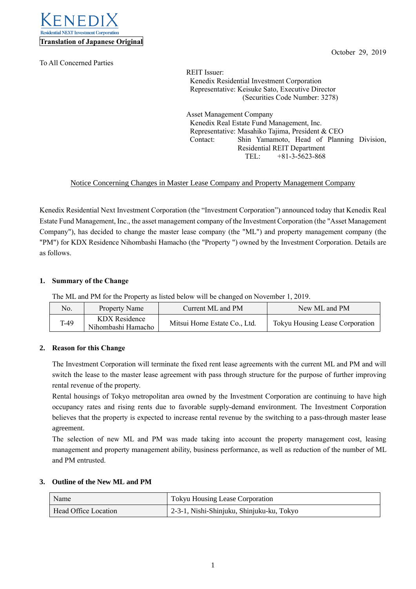

To All Concerned Parties

October 29, 2019

REIT Issuer: Kenedix Residential Investment Corporation Representative: Keisuke Sato, Executive Director (Securities Code Number: 3278)

Asset Management Company Kenedix Real Estate Fund Management, Inc. Representative: Masahiko Tajima, President & CEO Contact: Shin Yamamoto, Head of Planning Division, Residential REIT Department TEL: +81-3-5623-868

# Notice Concerning Changes in Master Lease Company and Property Management Company

Kenedix Residential Next Investment Corporation (the "Investment Corporation") announced today that Kenedix Real Estate Fund Management, Inc., the asset management company of the Investment Corporation (the "Asset Management Company"), has decided to change the master lease company (the "ML") and property management company (the "PM") for KDX Residence Nihombashi Hamacho (the "Property ") owned by the Investment Corporation. Details are as follows.

## **1. Summary of the Change**

The ML and PM for the Property as listed below will be changed on November 1, 2019.

| No.  | Property Name                       | Current ML and PM            | New ML and PM                   |
|------|-------------------------------------|------------------------------|---------------------------------|
| T-49 | KDX Residence<br>Nihombashi Hamacho | Mitsui Home Estate Co., Ltd. | Tokyu Housing Lease Corporation |

## **2. Reason for this Change**

The Investment Corporation will terminate the fixed rent lease agreements with the current ML and PM and will switch the lease to the master lease agreement with pass through structure for the purpose of further improving rental revenue of the property.

Rental housings of Tokyo metropolitan area owned by the Investment Corporation are continuing to have high occupancy rates and rising rents due to favorable supply-demand environment. The Investment Corporation believes that the property is expected to increase rental revenue by the switching to a pass-through master lease agreement.

The selection of new ML and PM was made taking into account the property management cost, leasing management and property management ability, business performance, as well as reduction of the number of ML and PM entrusted.

#### **3. Outline of the New ML and PM**

| Name                 | <b>Tokyu Housing Lease Corporation</b>                 |
|----------------------|--------------------------------------------------------|
| Head Office Location | <sup>1</sup> 2-3-1, Nishi-Shinjuku, Shinjuku-ku, Tokyo |